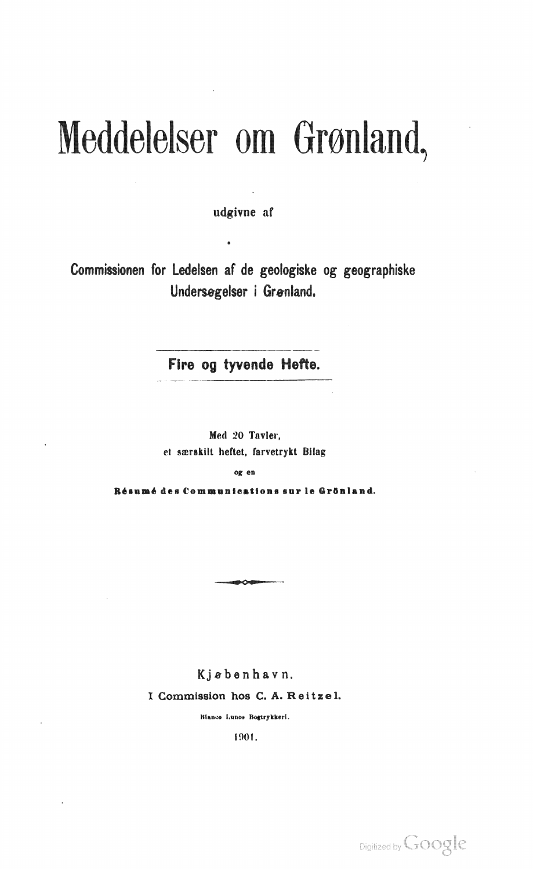## Meddelelser om Grønland,

udgivne af

Commissionen for Ledelsen af de geologiske og geographiske Undersøgelser i Grønland.

Fire og tyvende Hefte.

Med 20 Tavler. et særskilt heftet, farvetrykt Bilag

og en

Résumé des Communications sur le Grönland.

**• c.** 

Kjebenhavn. I Commission hos C. A. Reitzel.

Rianco Lunos Bogtrykkeri.

1901.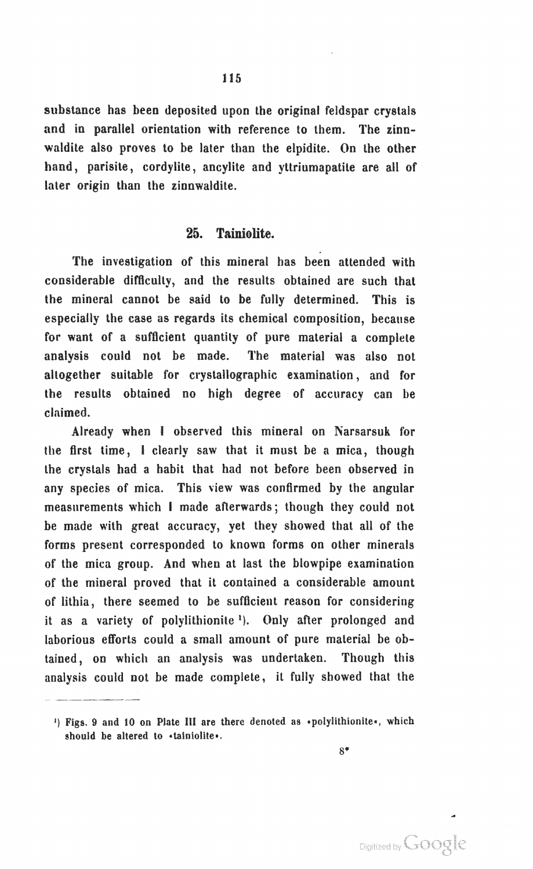substance has been deposited upon the original feldspar crystals and in parallel orientation with reference to them. The zinnwaldite also proves to be later than the elpidite. On the other hand, parisite, cordylite, ancylite and vitriumapatite are all of later origin than the zinnwaldite.

## 26. Tainiolite.

The investigation of this mineral has been attended with considerable difficulty, and the results obtained are such that the mineral cannot be said to be fully determined. This is especially the case as regards its chemical composition, because for want of a sufficient quantity of pure material a complete analysis could not be made. The material was also not altogether suitable for crystallographic examination, and for the results obtained no high degree of accuracy can be claimed.

Already when I observed tbis mineral on Narsarsuk for the first time, I clearly saw that it must be a mica, though the crystals had a habit that had not before been observed in any species of mica. This view was confirmed by the angular measurements which I made afterwards; though they could not be made with great accuracy, yet they showed that all of the forms present corresponded to known forms on other minerals ot' tbe mica group. And when at last the blowpipe examination of the mineral proved that it contained a considerable amount of lithia, there seemed to be sufficient reason for considering it as a variety of polylithionite<sup>1</sup>). Only after prolonged and laborious efforts could a small amount of pure material be obtained, on which an analysis was undertaken. Though this analysis could not be made complete, it fully showed that the

<sup>&</sup>lt;sup>1</sup>) Figs. 9 and 10 on Plate III are there denoted as  $\cdot$  polylithionite $\cdot$ , which should be altered to «tainiolite».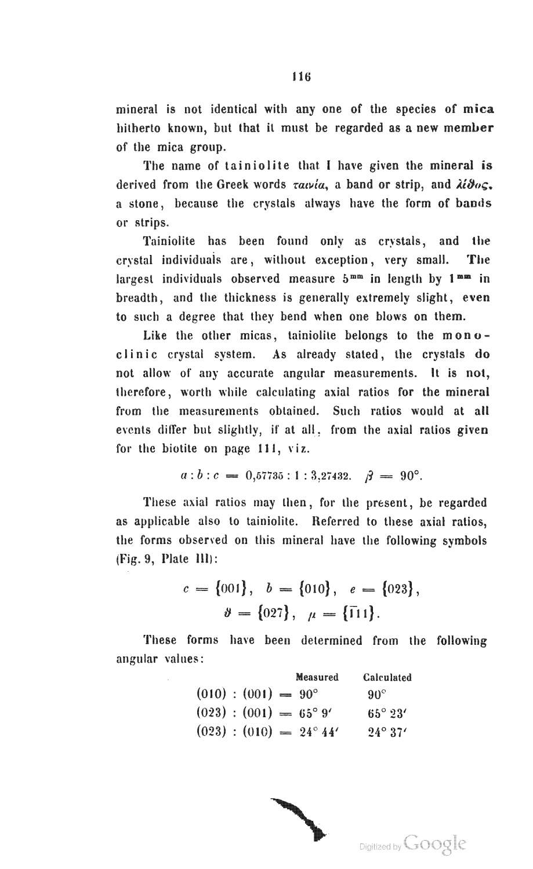mineral is not identical with anyone of the species of mica hitherto known, but that it must be regarded as a new member of the mica group.

The name of tainiolite that I have given the mineral is derived from the Greek words  $\tau a \nu / a$ , a band or strip, and  $\lambda \ell \vartheta o \varsigma$ . a stone, because the crystals always have the form of bands or strips.

Tainiolite has been found only as crystals, and the crystal individuais are, without exception, very small. The largest individuals observed measure  $5^{mm}$  in length by  $1^{mm}$  in breadth, and the thickness is generally extremely slight, even to such a degree that they bend when one blows on them.

Like the other micas, tainiolite belongs to the  $m \cdot o$ clinic crystal system. As already stated, the crystals do not allow of any accurate angular measurements. It is not, therefore, worth while calculating axial ratios for the mineral from the measurements obtained. Such ratios would at all events differ but slightly, if at all, from the axial ratios given for the biotite on page 111, viz.

$$
a:b:c = 0,57735:1:3,27432. \quad \beta = 90^{\circ}.
$$

These axial ratios may then, for the present, be regarded as applicable also to tainiolite. Referred to these axial ratios, the forms observed on this mineral have the following symbols  $(Fig. 9, Plate III)$ :

> $c = \{001\}, b = \{010\}, e = \{023\},$  $\vartheta = \{027\}, \mu = \{\bar{1}11\}.$

These forms have been determined from the following angular values:

|  |                              | Measured                         | Calculated       |
|--|------------------------------|----------------------------------|------------------|
|  | $(010) : (001) = 90^{\circ}$ |                                  | $90^\circ$       |
|  |                              | $(023) : (001) = 65^{\circ} 9'$  | $65^{\circ}$ 23' |
|  |                              | $(023) : (010) = 24^{\circ} 44'$ | $24^{\circ}37'$  |

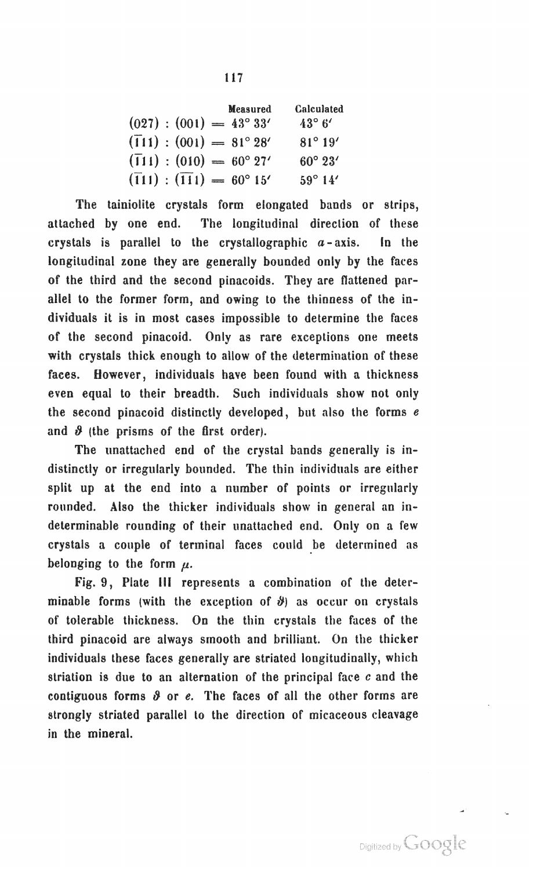|  |                                                   | Measured | <b>Calculated</b> |  |
|--|---------------------------------------------------|----------|-------------------|--|
|  | $(027) : (001) = 43^{\circ} 33'$                  |          | $43^\circ 6'$     |  |
|  | $(\overline{1}11):(001) = 81^{\circ} 28'$         |          | $81^{\circ} 19'$  |  |
|  | $(\overline{1}11):(010) = 60^{\circ}27'$          |          | $60^{\circ} 23'$  |  |
|  | $(\overline{1}11)$ : $(\overline{11}1)$ = 60° 15' |          | $59^{\circ} 14'$  |  |

The tainiolite crystals form elongated bands or strips, attached by one end. The longitudinal direction of these crystals is parallel to the crystallographic *a* - axis. In the longitudinal zone they are generally bounded only by the faces of the third and the second pinacoids. They are flattened parallel to the former form, and owing to the thinness of the individuals it is in most cases impossible to determine the faces of the second pinacoid. Only as rare exceptions one meets with crystals thick enough to allow of the determination of these faces. However, individuals have been found with a thickness even equal to their breadth. Such individuals show not only the second pinacoid distinctly developed, but also the forms  $e$ and  $\vartheta$  (the prisms of the first order).

The unattached end of the crystal bands generally is indistinctly or irregularly bounded. The thin individuals are either split up at the end into a number of points or irregularly rounded. Also the thicker individuals show in general an indeterminable rounding of their unattached end. Only on a few crystals a couple of terminal faces could be determined as belonging to the form  $\mu$ .

Fig. 9, Plate III represents a combination of the determinable forms (with the exception of  $\hat{\theta}$ ) as occur on crystals of tolerable thickness. On the thin crystals the faces of the third pinacoid are always smooth and brilliant. On the thicker individuals these faces generally are striated longitudinally, which striation is due to an alternation of the principal face  $c$  and the contiguous forms  $\vartheta$  or  $e$ . The faces of all the other forms are strongly striated parallel to the direction of micaceous cleavage in the mineral.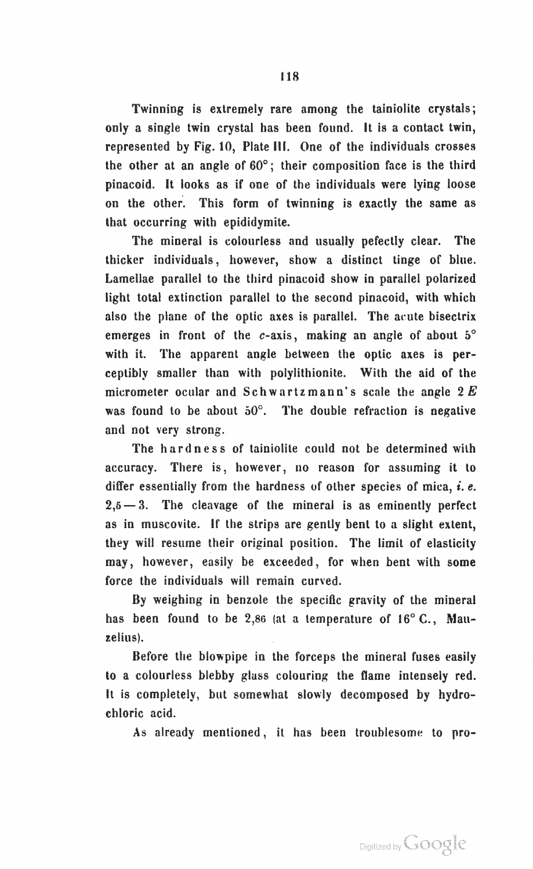Twinning is extremely rare among the tainiolite crystals; only a single twin crystal has been found. It is a contact twin, represented by Fig. 10, Plate III. One of the individuals crosses the other at an angle of 60°; their composition face is the third pinacoid. It looks as if one of the individuals were lying loose on the other. This form of twinning is exactly the same as that occurring with epididymite.

The mineral is colourless and usually pefectly clear. The thicker individuals, however, show a distinct tinge of blue. Lamellae parallel to the third pinacoid show in parallel polarized light total extinction parallel to the second pinacoid, with which also the plane of the optic axes is parallel. The acute bisectrix emerges in front of the  $c$ -axis, making an angle of about  $5^\circ$ with it. The apparent angle between the optic axes is perceptibly smaller than with polylithionite. With the aid of the micrometer ocular and Schwartzmann's scale the angle *2E*  was found to be about  $50^\circ$ . The double refraction is negative and not very strong.

The hardness of tainiolite could not be determined with accuracy. There is, however, no reason for assuming it to differ essentially from the hardness of other species of mica, *i. e.*   $2,5$   $-3$ . The cleavage of the mineral is as eminently perfect as in muscovite. If the strips are gently bent to a slight extent, they will resume their original position. The limit of elasticity may, however, easily be exceeded, for when bent with some force the individuals will remain curved.

By weighing in benzole the specific gravity of the mineral has been found to be 2,86 (at a temperature of 16° C., Mauzelius).

Before the blowpipe in the forceps the mineral fuses easily to a colourless blebby glass colouring the flame intensely red. It is completely, but somewhat slowly decomposed by hydrochloric acid.

As already mentioned, it has been troublesome to pro-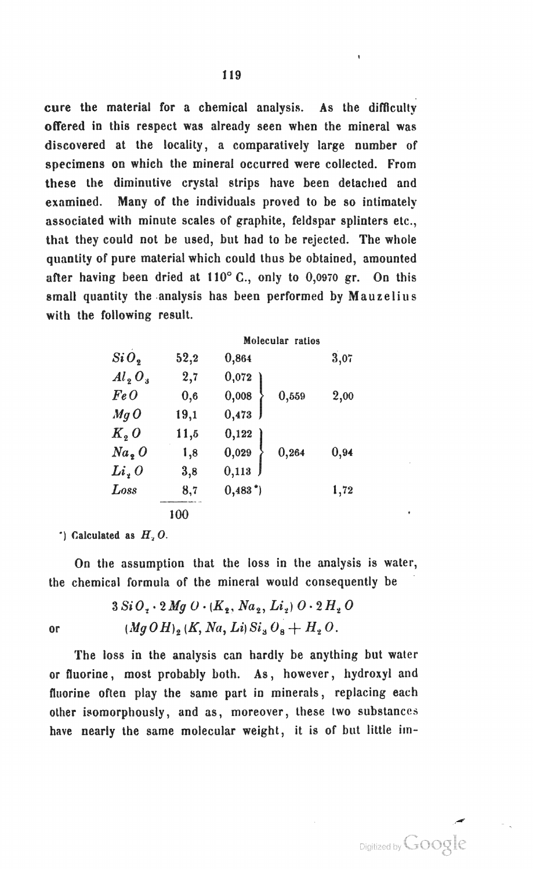cure the material for a chemical analysis. As the difficulty offered in this respect was already seen when the mineral was discovered at the locality, a comparatively large number of specimens on which the mineral occurred were collected. From these the diminutive crystal strips have been detached and examined. Many of the individuals proved to be so intimately associated with minute scales of graphite, feldspar splinters etc., that they could not be used, but had to be rejected. The whole quantity of pure material which could thus be obtained, amounted after having been dried at 110° C., only to 0,0970 gr. On this small quantity the analysis has been performed by Mauzelius with the following result.

|                  |          | Molecular ratios       |      |  |  |
|------------------|----------|------------------------|------|--|--|
| SiO <sub>9</sub> | 52,2     | 0,864                  | 3,07 |  |  |
| $Al_2O_3$        | 2,7      | 0,072                  |      |  |  |
| Fe O             | $_{0,6}$ | 0,008<br>0,559         | 2,00 |  |  |
| $Mq$ $O$         | 19,1     | 0,473                  |      |  |  |
| $K2$ O           | 11,5     | 0,122                  |      |  |  |
| $Na_{2}$ O       | 1,8      | 0,029<br>0,264         | 0,94 |  |  |
| Li, 0            | 3,8      | 0,113                  |      |  |  |
| Loss             | 8,7      | $0,483$ <sup>*</sup> ) | 1,72 |  |  |
|                  | 100      |                        |      |  |  |

") Calculated as  $H<sub>2</sub> O$ .

On the assumption that the loss in the analysis is water, the chemical formula of the mineral would consequently be

$$
3 Si O2 \cdot 2 Mg O \cdot (K_2, Na_2, Li_2) O \cdot 2 H_2 O
$$
  
or 
$$
(Mg O H)2 (K, Na, Li) Si3 O8 + H2 O.
$$

The loss in the analysis can hardly be anything but water or fluorine, most probably both. As, however, hydroxyl and fluorine often play the same part in minerals, replacing each other isomorphously, and as, moreover, these two substances have nearly the same molecular weight, it is of but little im-

Digitized by Google